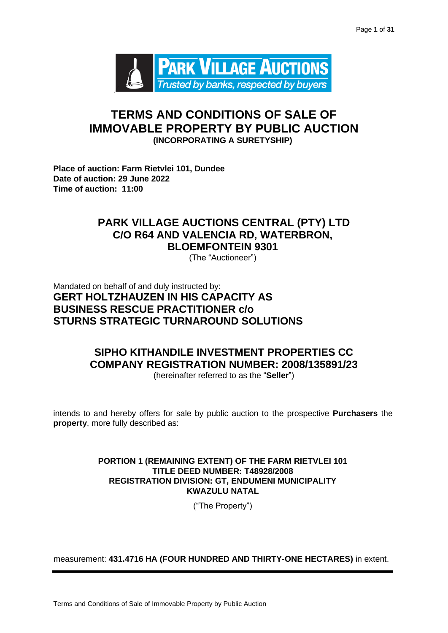

# **TERMS AND CONDITIONS OF SALE OF IMMOVABLE PROPERTY BY PUBLIC AUCTION (INCORPORATING A SURETYSHIP)**

**Place of auction: Farm Rietvlei 101, Dundee Date of auction: 29 June 2022 Time of auction: 11:00** 

# **PARK VILLAGE AUCTIONS CENTRAL (PTY) LTD C/O R64 AND VALENCIA RD, WATERBRON, BLOEMFONTEIN 9301**

(The "Auctioneer")

Mandated on behalf of and duly instructed by: **GERT HOLTZHAUZEN IN HIS CAPACITY AS BUSINESS RESCUE PRACTITIONER c/o STURNS STRATEGIC TURNAROUND SOLUTIONS**

# **SIPHO KITHANDILE INVESTMENT PROPERTIES CC COMPANY REGISTRATION NUMBER: 2008/135891/23**

(hereinafter referred to as the "**Seller**")

intends to and hereby offers for sale by public auction to the prospective **Purchasers** the **property**, more fully described as:

# **PORTION 1 (REMAINING EXTENT) OF THE FARM RIETVLEI 101 TITLE DEED NUMBER: T48928/2008 REGISTRATION DIVISION: GT, ENDUMENI MUNICIPALITY KWAZULU NATAL**

("The Property")

measurement: **431.4716 HA (FOUR HUNDRED AND THIRTY-ONE HECTARES)** in extent.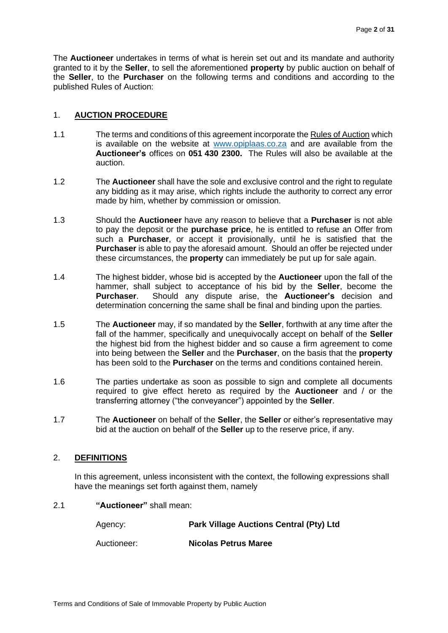The **Auctioneer** undertakes in terms of what is herein set out and its mandate and authority granted to it by the **Seller**, to sell the aforementioned **property** by public auction on behalf of the **Seller**, to the **Purchaser** on the following terms and conditions and according to the published Rules of Auction:

# 1. **AUCTION PROCEDURE**

- 1.1 The terms and conditions of this agreement incorporate the Rules of Auction which is available on the website at [www.opiplaas.co.za](http://www.opiplaas.co.za/) [a](http://www.parkvillageauctions.co.za/)nd are available from the **Auctioneer's** offices on **051 430 2300.** The Rules will also be available at the auction.
- 1.2 The **Auctioneer** shall have the sole and exclusive control and the right to regulate any bidding as it may arise, which rights include the authority to correct any error made by him, whether by commission or omission.
- 1.3 Should the **Auctioneer** have any reason to believe that a **Purchaser** is not able to pay the deposit or the **purchase price**, he is entitled to refuse an Offer from such a **Purchaser**, or accept it provisionally, until he is satisfied that the **Purchaser** is able to pay the aforesaid amount. Should an offer be rejected under these circumstances, the **property** can immediately be put up for sale again.
- 1.4 The highest bidder, whose bid is accepted by the **Auctioneer** upon the fall of the hammer, shall subject to acceptance of his bid by the **Seller**, become the **Purchaser**. Should any dispute arise, the **Auctioneer's** decision and determination concerning the same shall be final and binding upon the parties.
- 1.5 The **Auctioneer** may, if so mandated by the **Seller**, forthwith at any time after the fall of the hammer, specifically and unequivocally accept on behalf of the **Seller** the highest bid from the highest bidder and so cause a firm agreement to come into being between the **Seller** and the **Purchaser**, on the basis that the **property** has been sold to the **Purchaser** on the terms and conditions contained herein.
- 1.6 The parties undertake as soon as possible to sign and complete all documents required to give effect hereto as required by the **Auctioneer** and / or the transferring attorney ("the conveyancer") appointed by the **Seller**.
- 1.7 The **Auctioneer** on behalf of the **Seller**, the **Seller** or either's representative may bid at the auction on behalf of the **Seller** up to the reserve price, if any.

# 2. **DEFINITIONS**

In this agreement, unless inconsistent with the context, the following expressions shall have the meanings set forth against them, namely

# 2.1 **"Auctioneer"** shall mean:

Agency: **Park Village Auctions Central (Pty) Ltd** Auctioneer: **Nicolas Petrus Maree**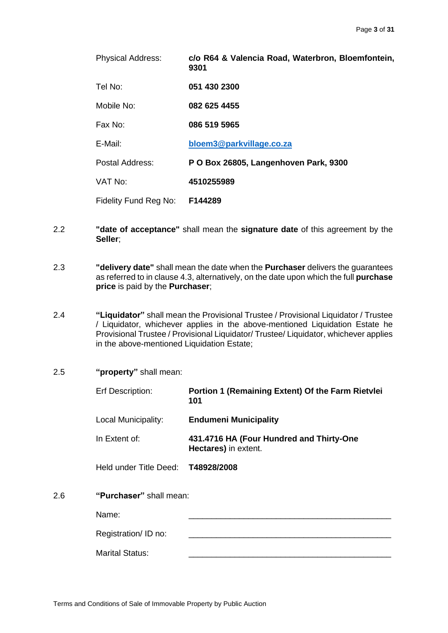| <b>Physical Address:</b> | c/o R64 & Valencia Road, Waterbron, Bloemfontein,<br>9301 |
|--------------------------|-----------------------------------------------------------|
| Tel No:                  | 051 430 2300                                              |
| Mobile No:               | 082 625 4455                                              |
| Fax No:                  | 086 519 5965                                              |
| E-Mail:                  | bloem3@parkvillage.co.za                                  |
| Postal Address:          | P O Box 26805, Langenhoven Park, 9300                     |
| VAT No:                  | 4510255989                                                |
| Fidelity Fund Reg No:    | F144289                                                   |

- 2.2 **"date of acceptance"** shall mean the **signature date** of this agreement by the **Seller**;
- 2.3 **"delivery date"** shall mean the date when the **Purchaser** delivers the guarantees as referred to in clause 4.3, alternatively, on the date upon which the full **purchase price** is paid by the **Purchaser**;
- 2.4 **"Liquidator"** shall mean the Provisional Trustee / Provisional Liquidator / Trustee / Liquidator, whichever applies in the above-mentioned Liquidation Estate he Provisional Trustee / Provisional Liquidator/ Trustee/ Liquidator, whichever applies in the above-mentioned Liquidation Estate;
- 2.5 **"property"** shall mean:

Erf Description: **Portion 1 (Remaining Extent) Of the Farm Rietvlei 101** Local Municipality: **Endumeni Municipality**

In Extent of: **431.4716 HA (Four Hundred and Thirty-One Hectares)** in extent.

Held under Title Deed: **T48928/2008**

2.6 **"Purchaser"** shall mean:

Name: \_\_\_\_\_\_\_\_\_\_\_\_\_\_\_\_\_\_\_\_\_\_\_\_\_\_\_\_\_\_\_\_\_\_\_\_\_\_\_\_\_\_\_\_

| Registration/ID no:    |  |
|------------------------|--|
| <b>Marital Status:</b> |  |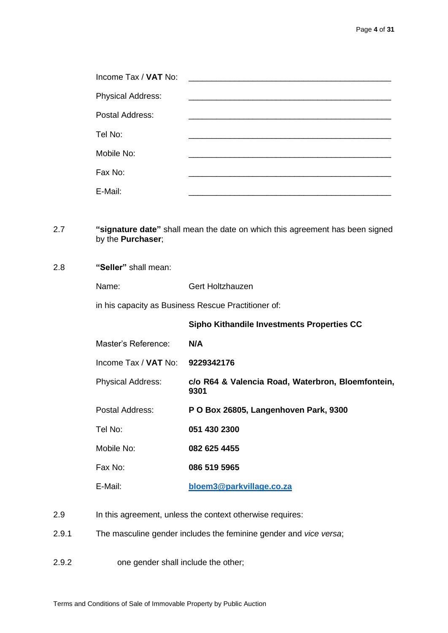| Income Tax / VAT No:     | <u> 1980 - Jan Barbara, martxa al II-lea (h. 1980).</u><br>1900 - Johann Barbara, martxa al II-lea (h. 1900). |
|--------------------------|---------------------------------------------------------------------------------------------------------------|
| <b>Physical Address:</b> |                                                                                                               |
| Postal Address:          |                                                                                                               |
| Tel No:                  |                                                                                                               |
| Mobile No:               |                                                                                                               |
| Fax No:                  |                                                                                                               |
| E-Mail:                  |                                                                                                               |

## 2.7 **"signature date"** shall mean the date on which this agreement has been signed by the **Purchaser**;

# 2.8 **"Seller"** shall mean:

Name: Gert Holtzhauzen

in his capacity as Business Rescue Practitioner of:

**Sipho Kithandile Investments Properties CC**

Master's Reference: **N/A**

- Physical Address: **c/o R64 & Valencia Road, Waterbron, Bloemfontein, 9301**
- Postal Address: **P O Box 26805, Langenhoven Park, 9300**

Tel No: **051 430 2300**

Mobile No: **082 625 4455**

Income Tax / **VAT** No: **9229342176**

Fax No: **086 519 5965**

- E-Mail: **[bloem3@parkvillage.co.za](mailto:bloem3@parkvillage.co.za)**
- 2.9 In this agreement, unless the context otherwise requires:
- 2.9.1 The masculine gender includes the feminine gender and *vice versa*;
- 2.9.2 one gender shall include the other;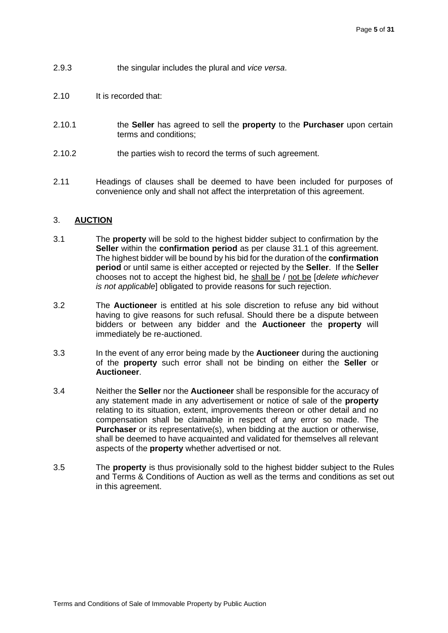- 2.9.3 the singular includes the plural and *vice versa*.
- 2.10 It is recorded that:
- 2.10.1 the **Seller** has agreed to sell the **property** to the **Purchaser** upon certain terms and conditions;
- 2.10.2 the parties wish to record the terms of such agreement.
- 2.11 Headings of clauses shall be deemed to have been included for purposes of convenience only and shall not affect the interpretation of this agreement.

#### 3. **AUCTION**

- 3.1 The **property** will be sold to the highest bidder subject to confirmation by the **Seller** within the **confirmation period** as per clause 31.1 of this agreement. The highest bidder will be bound by his bid for the duration of the **confirmation period** or until same is either accepted or rejected by the **Seller**. If the **Seller**  chooses not to accept the highest bid, he shall be / not be [*delete whichever is not applicable*] obligated to provide reasons for such rejection.
- 3.2 The **Auctioneer** is entitled at his sole discretion to refuse any bid without having to give reasons for such refusal. Should there be a dispute between bidders or between any bidder and the **Auctioneer** the **property** will immediately be re-auctioned.
- 3.3 In the event of any error being made by the **Auctioneer** during the auctioning of the **property** such error shall not be binding on either the **Seller** or **Auctioneer**.
- 3.4 Neither the **Seller** nor the **Auctioneer** shall be responsible for the accuracy of any statement made in any advertisement or notice of sale of the **property** relating to its situation, extent, improvements thereon or other detail and no compensation shall be claimable in respect of any error so made. The **Purchaser** or its representative(s), when bidding at the auction or otherwise, shall be deemed to have acquainted and validated for themselves all relevant aspects of the **property** whether advertised or not.
- 3.5 The **property** is thus provisionally sold to the highest bidder subject to the Rules and Terms & Conditions of Auction as well as the terms and conditions as set out in this agreement.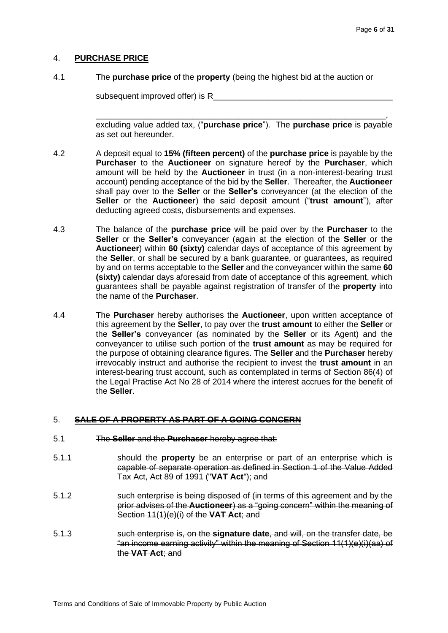# 4. **PURCHASE PRICE**

4.1 The **purchase price** of the **property** (being the highest bid at the auction or

subsequent improved offer) is R

\_\_\_\_\_\_\_\_\_\_\_\_\_\_\_\_\_\_\_\_\_\_\_\_\_\_\_\_\_\_\_\_\_\_\_\_\_\_\_\_\_\_\_\_\_\_\_\_\_\_\_\_\_\_\_\_\_\_\_\_\_\_\_, excluding value added tax, ("**purchase price**"). The **purchase price** is payable as set out hereunder.

- 4.2 A deposit equal to **15% (fifteen percent)** of the **purchase price** is payable by the **Purchaser** to the **Auctioneer** on signature hereof by the **Purchaser**, which amount will be held by the **Auctioneer** in trust (in a non-interest-bearing trust account) pending acceptance of the bid by the **Seller**. Thereafter, the **Auctioneer** shall pay over to the **Seller** or the **Seller's** conveyancer (at the election of the **Seller** or the **Auctioneer**) the said deposit amount ("**trust amount**"), after deducting agreed costs, disbursements and expenses.
- 4.3 The balance of the **purchase price** will be paid over by the **Purchaser** to the **Seller** or the **Seller's** conveyancer (again at the election of the **Seller** or the **Auctioneer**) within **60 (sixty)** calendar days of acceptance of this agreement by the **Seller**, or shall be secured by a bank guarantee, or guarantees, as required by and on terms acceptable to the **Seller** and the conveyancer within the same **60 (sixty)** calendar days aforesaid from date of acceptance of this agreement, which guarantees shall be payable against registration of transfer of the **property** into the name of the **Purchaser**.
- 4.4 The **Purchaser** hereby authorises the **Auctioneer**, upon written acceptance of this agreement by the **Seller**, to pay over the **trust amount** to either the **Seller** or the **Seller's** conveyancer (as nominated by the **Seller** or its Agent) and the conveyancer to utilise such portion of the **trust amount** as may be required for the purpose of obtaining clearance figures. The **Seller** and the **Purchaser** hereby irrevocably instruct and authorise the recipient to invest the **trust amount** in an interest-bearing trust account, such as contemplated in terms of Section 86(4) of the Legal Practise Act No 28 of 2014 where the interest accrues for the benefit of the **Seller**.

# 5. **SALE OF A PROPERTY AS PART OF A GOING CONCERN**

- 5.1 The **Seller** and the **Purchaser** hereby agree that:
- 5.1.1 should the **property** be an enterprise or part of an enterprise which is capable of separate operation as defined in Section 1 of the Value Added Tax Act, Act 89 of 1991 ("**VAT Act**"); and
- 5.1.2 such enterprise is being disposed of (in terms of this agreement and by the prior advises of the **Auctioneer**) as a "going concern" within the meaning of Section 11(1)(e)(i) of the **VAT Act**; and
- 5.1.3 such enterprise is, on the **signature date**, and will, on the transfer date, be "an income earning activity" within the meaning of Section 11(1)(e)(i)(aa) of the **VAT Act**; and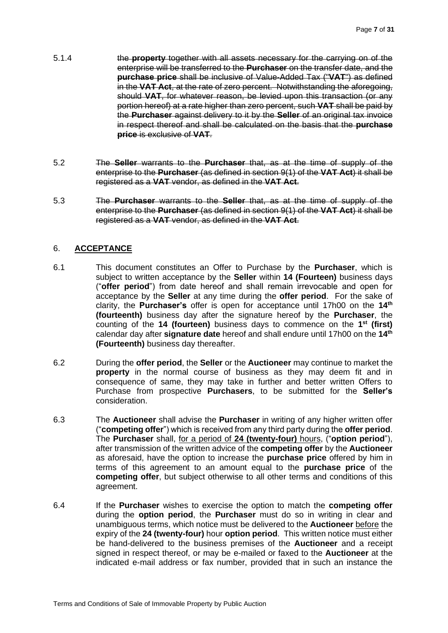- 5.1.4 the **property** together with all assets necessary for the carrying on of the enterprise will be transferred to the **Purchaser** on the transfer date, and the **purchase price** shall be inclusive of Value-Added Tax ("**VAT**") as defined in the **VAT Act**, at the rate of zero percent. Notwithstanding the aforegoing, should **VAT**, for whatever reason, be levied upon this transaction (or any portion hereof) at a rate higher than zero percent, such **VAT** shall be paid by the **Purchaser** against delivery to it by the **Seller** of an original tax invoice in respect thereof and shall be calculated on the basis that the **purchase price** is exclusive of **VAT**.
- 5.2 The **Seller** warrants to the **Purchaser** that, as at the time of supply of the enterprise to the **Purchaser** (as defined in section 9(1) of the **VAT Act**) it shall be registered as a **VAT** vendor, as defined in the **VAT Act**.
- 5.3 The **Purchaser** warrants to the **Seller** that, as at the time of supply of the enterprise to the **Purchaser** (as defined in section 9(1) of the **VAT Act**) it shall be registered as a **VAT** vendor, as defined in the **VAT Act**.

# 6. **ACCEPTANCE**

- 6.1 This document constitutes an Offer to Purchase by the **Purchaser**, which is subject to written acceptance by the **Seller** within **14 (Fourteen)** business days ("**offer period**") from date hereof and shall remain irrevocable and open for acceptance by the **Seller** at any time during the **offer period**. For the sake of clarity, the **Purchaser's** offer is open for acceptance until 17h00 on the **14th (fourteenth)** business day after the signature hereof by the **Purchaser**, the counting of the **14 (fourteen)** business days to commence on the **1 st (first)** calendar day after **signature date** hereof and shall endure until 17h00 on the **14th (Fourteenth)** business day thereafter.
- 6.2 During the **offer period**, the **Seller** or the **Auctioneer** may continue to market the **property** in the normal course of business as they may deem fit and in consequence of same, they may take in further and better written Offers to Purchase from prospective **Purchasers**, to be submitted for the **Seller's** consideration.
- 6.3 The **Auctioneer** shall advise the **Purchaser** in writing of any higher written offer ("**competing offer**") which is received from any third party during the **offer period**. The **Purchaser** shall, for a period of **24 (twenty-four)** hours, ("**option period**"), after transmission of the written advice of the **competing offer** by the **Auctioneer** as aforesaid, have the option to increase the **purchase price** offered by him in terms of this agreement to an amount equal to the **purchase price** of the **competing offer**, but subject otherwise to all other terms and conditions of this agreement.
- 6.4 If the **Purchaser** wishes to exercise the option to match the **competing offer** during the **option period**, the **Purchaser** must do so in writing in clear and unambiguous terms, which notice must be delivered to the **Auctioneer** before the expiry of the **24 (twenty-four)** hour **option period**. This written notice must either be hand-delivered to the business premises of the **Auctioneer** and a receipt signed in respect thereof, or may be e-mailed or faxed to the **Auctioneer** at the indicated e-mail address or fax number, provided that in such an instance the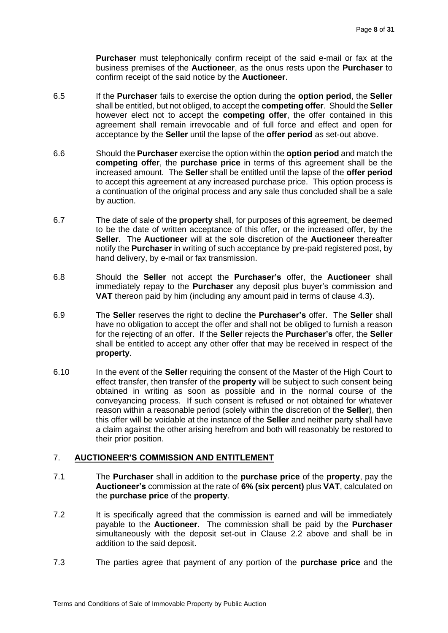**Purchaser** must telephonically confirm receipt of the said e-mail or fax at the business premises of the **Auctioneer**, as the onus rests upon the **Purchaser** to confirm receipt of the said notice by the **Auctioneer**.

- 6.5 If the **Purchaser** fails to exercise the option during the **option period**, the **Seller** shall be entitled, but not obliged, to accept the **competing offer**. Should the **Seller** however elect not to accept the **competing offer**, the offer contained in this agreement shall remain irrevocable and of full force and effect and open for acceptance by the **Seller** until the lapse of the **offer period** as set-out above.
- 6.6 Should the **Purchaser** exercise the option within the **option period** and match the **competing offer**, the **purchase price** in terms of this agreement shall be the increased amount. The **Seller** shall be entitled until the lapse of the **offer period** to accept this agreement at any increased purchase price.This option process is a continuation of the original process and any sale thus concluded shall be a sale by auction.
- 6.7 The date of sale of the **property** shall, for purposes of this agreement, be deemed to be the date of written acceptance of this offer, or the increased offer, by the **Seller**. The **Auctioneer** will at the sole discretion of the **Auctioneer** thereafter notify the **Purchaser** in writing of such acceptance by pre-paid registered post, by hand delivery, by e-mail or fax transmission.
- 6.8 Should the **Seller** not accept the **Purchaser's** offer, the **Auctioneer** shall immediately repay to the **Purchaser** any deposit plus buyer's commission and **VAT** thereon paid by him (including any amount paid in terms of clause 4.3).
- 6.9 The **Seller** reserves the right to decline the **Purchaser's** offer. The **Seller** shall have no obligation to accept the offer and shall not be obliged to furnish a reason for the rejecting of an offer. If the **Seller** rejects the **Purchaser's** offer, the **Seller** shall be entitled to accept any other offer that may be received in respect of the **property**.
- 6.10 In the event of the **Seller** requiring the consent of the Master of the High Court to effect transfer, then transfer of the **property** will be subject to such consent being obtained in writing as soon as possible and in the normal course of the conveyancing process. If such consent is refused or not obtained for whatever reason within a reasonable period (solely within the discretion of the **Seller**), then this offer will be voidable at the instance of the **Seller** and neither party shall have a claim against the other arising herefrom and both will reasonably be restored to their prior position.

# 7. **AUCTIONEER'S COMMISSION AND ENTITLEMENT**

- 7.1 The **Purchaser** shall in addition to the **purchase price** of the **property**, pay the **Auctioneer's** commission at the rate of **6% (six percent)** plus **VAT**, calculated on the **purchase price** of the **property**.
- 7.2 It is specifically agreed that the commission is earned and will be immediately payable to the **Auctioneer**. The commission shall be paid by the **Purchaser** simultaneously with the deposit set-out in Clause 2.2 above and shall be in addition to the said deposit.
- 7.3 The parties agree that payment of any portion of the **purchase price** and the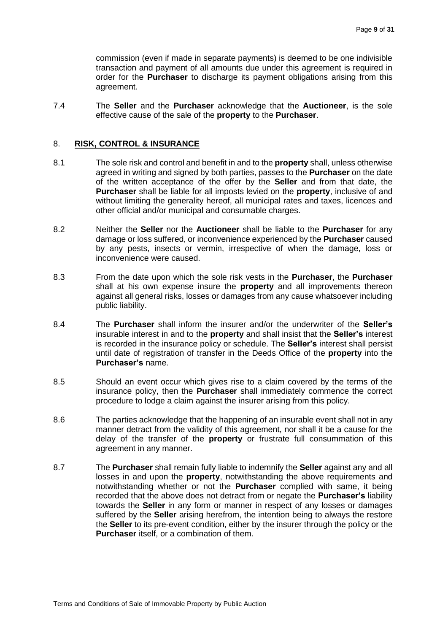commission (even if made in separate payments) is deemed to be one indivisible transaction and payment of all amounts due under this agreement is required in order for the **Purchaser** to discharge its payment obligations arising from this agreement.

7.4 The **Seller** and the **Purchaser** acknowledge that the **Auctioneer**, is the sole effective cause of the sale of the **property** to the **Purchaser**.

## 8. **RISK, CONTROL & INSURANCE**

- 8.1 The sole risk and control and benefit in and to the **property** shall, unless otherwise agreed in writing and signed by both parties, passes to the **Purchaser** on the date of the written acceptance of the offer by the **Seller** and from that date, the **Purchaser** shall be liable for all imposts levied on the **property**, inclusive of and without limiting the generality hereof, all municipal rates and taxes, licences and other official and/or municipal and consumable charges.
- 8.2 Neither the **Seller** nor the **Auctioneer** shall be liable to the **Purchaser** for any damage or loss suffered, or inconvenience experienced by the **Purchaser** caused by any pests, insects or vermin, irrespective of when the damage, loss or inconvenience were caused.
- 8.3 From the date upon which the sole risk vests in the **Purchaser**, the **Purchaser** shall at his own expense insure the **property** and all improvements thereon against all general risks, losses or damages from any cause whatsoever including public liability.
- 8.4 The **Purchaser** shall inform the insurer and/or the underwriter of the **Seller's** insurable interest in and to the **property** and shall insist that the **Seller's** interest is recorded in the insurance policy or schedule. The **Seller's** interest shall persist until date of registration of transfer in the Deeds Office of the **property** into the **Purchaser's** name.
- 8.5 Should an event occur which gives rise to a claim covered by the terms of the insurance policy, then the **Purchaser** shall immediately commence the correct procedure to lodge a claim against the insurer arising from this policy.
- 8.6 The parties acknowledge that the happening of an insurable event shall not in any manner detract from the validity of this agreement, nor shall it be a cause for the delay of the transfer of the **property** or frustrate full consummation of this agreement in any manner.
- 8.7 The **Purchaser** shall remain fully liable to indemnify the **Seller** against any and all losses in and upon the **property**, notwithstanding the above requirements and notwithstanding whether or not the **Purchaser** complied with same, it being recorded that the above does not detract from or negate the **Purchaser's** liability towards the **Seller** in any form or manner in respect of any losses or damages suffered by the **Seller** arising herefrom, the intention being to always the restore the **Seller** to its pre-event condition, either by the insurer through the policy or the **Purchaser** itself, or a combination of them.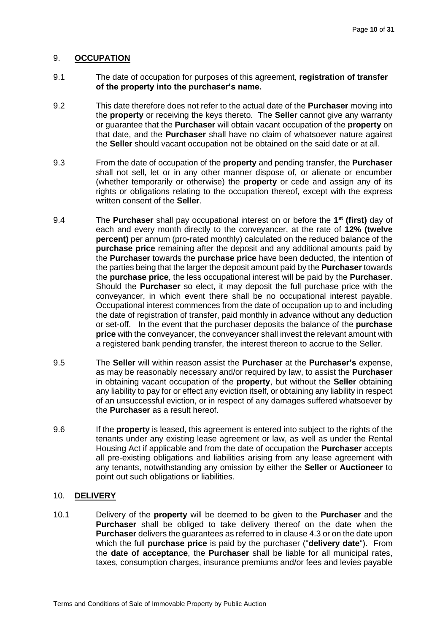#### 9. **OCCUPATION**

- 9.1 The date of occupation for purposes of this agreement, **registration of transfer of the property into the purchaser's name.**
- 9.2 This date therefore does not refer to the actual date of the **Purchaser** moving into the **property** or receiving the keys thereto. The **Seller** cannot give any warranty or guarantee that the **Purchaser** will obtain vacant occupation of the **property** on that date, and the **Purchaser** shall have no claim of whatsoever nature against the **Seller** should vacant occupation not be obtained on the said date or at all.
- 9.3 From the date of occupation of the **property** and pending transfer, the **Purchaser** shall not sell, let or in any other manner dispose of, or alienate or encumber (whether temporarily or otherwise) the **property** or cede and assign any of its rights or obligations relating to the occupation thereof, except with the express written consent of the **Seller**.
- 9.4 The **Purchaser** shall pay occupational interest on or before the **1 st (first)** day of each and every month directly to the conveyancer, at the rate of **12% (twelve percent)** per annum (pro-rated monthly) calculated on the reduced balance of the **purchase price** remaining after the deposit and any additional amounts paid by the **Purchaser** towards the **purchase price** have been deducted, the intention of the parties being that the larger the deposit amount paid by the **Purchaser** towards the **purchase price**, the less occupational interest will be paid by the **Purchaser**. Should the **Purchaser** so elect, it may deposit the full purchase price with the conveyancer, in which event there shall be no occupational interest payable. Occupational interest commences from the date of occupation up to and including the date of registration of transfer, paid monthly in advance without any deduction or set-off. In the event that the purchaser deposits the balance of the **purchase price** with the conveyancer, the conveyancer shall invest the relevant amount with a registered bank pending transfer, the interest thereon to accrue to the Seller.
- 9.5 The **Seller** will within reason assist the **Purchaser** at the **Purchaser's** expense, as may be reasonably necessary and/or required by law, to assist the **Purchaser** in obtaining vacant occupation of the **property**, but without the **Seller** obtaining any liability to pay for or effect any eviction itself, or obtaining any liability in respect of an unsuccessful eviction, or in respect of any damages suffered whatsoever by the **Purchaser** as a result hereof.
- 9.6 If the **property** is leased, this agreement is entered into subject to the rights of the tenants under any existing lease agreement or law, as well as under the Rental Housing Act if applicable and from the date of occupation the **Purchaser** accepts all pre-existing obligations and liabilities arising from any lease agreement with any tenants, notwithstanding any omission by either the **Seller** or **Auctioneer** to point out such obligations or liabilities.

#### 10. **DELIVERY**

10.1 Delivery of the **property** will be deemed to be given to the **Purchaser** and the **Purchaser** shall be obliged to take delivery thereof on the date when the **Purchaser** delivers the guarantees as referred to in clause 4.3 or on the date upon which the full **purchase price** is paid by the purchaser ("**delivery date**"). From the **date of acceptance**, the **Purchaser** shall be liable for all municipal rates, taxes, consumption charges, insurance premiums and/or fees and levies payable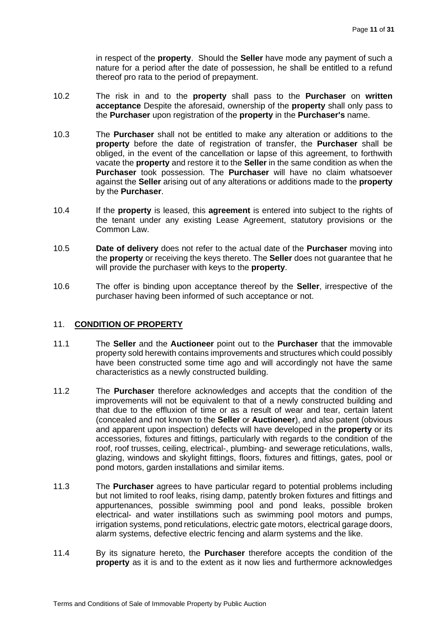in respect of the **property**. Should the **Seller** have mode any payment of such a nature for a period after the date of possession, he shall be entitled to a refund thereof pro rata to the period of prepayment.

- 10.2 The risk in and to the **property** shall pass to the **Purchaser** on **written acceptance** Despite the aforesaid, ownership of the **property** shall only pass to the **Purchaser** upon registration of the **property** in the **Purchaser's** name.
- 10.3 The **Purchaser** shall not be entitled to make any alteration or additions to the **property** before the date of registration of transfer, the **Purchaser** shall be obliged, in the event of the cancellation or lapse of this agreement, to forthwith vacate the **property** and restore it to the **Seller** in the same condition as when the **Purchaser** took possession. The **Purchaser** will have no claim whatsoever against the **Seller** arising out of any alterations or additions made to the **property** by the **Purchaser**.
- 10.4 If the **property** is leased, this **agreement** is entered into subject to the rights of the tenant under any existing Lease Agreement, statutory provisions or the Common Law.
- 10.5 **Date of delivery** does not refer to the actual date of the **Purchaser** moving into the **property** or receiving the keys thereto. The **Seller** does not guarantee that he will provide the purchaser with keys to the **property**.
- 10.6 The offer is binding upon acceptance thereof by the **Seller**, irrespective of the purchaser having been informed of such acceptance or not.

#### 11. **CONDITION OF PROPERTY**

- 11.1 The **Seller** and the **Auctioneer** point out to the **Purchaser** that the immovable property sold herewith contains improvements and structures which could possibly have been constructed some time ago and will accordingly not have the same characteristics as a newly constructed building.
- 11.2 The **Purchaser** therefore acknowledges and accepts that the condition of the improvements will not be equivalent to that of a newly constructed building and that due to the effluxion of time or as a result of wear and tear, certain latent (concealed and not known to the **Seller** or **Auctioneer**), and also patent (obvious and apparent upon inspection) defects will have developed in the **property** or its accessories, fixtures and fittings, particularly with regards to the condition of the roof, roof trusses, ceiling, electrical-, plumbing- and sewerage reticulations, walls, glazing, windows and skylight fittings, floors, fixtures and fittings, gates, pool or pond motors, garden installations and similar items.
- 11.3 The **Purchaser** agrees to have particular regard to potential problems including but not limited to roof leaks, rising damp, patently broken fixtures and fittings and appurtenances, possible swimming pool and pond leaks, possible broken electrical- and water instillations such as swimming pool motors and pumps, irrigation systems, pond reticulations, electric gate motors, electrical garage doors, alarm systems, defective electric fencing and alarm systems and the like.
- 11.4 By its signature hereto, the **Purchaser** therefore accepts the condition of the **property** as it is and to the extent as it now lies and furthermore acknowledges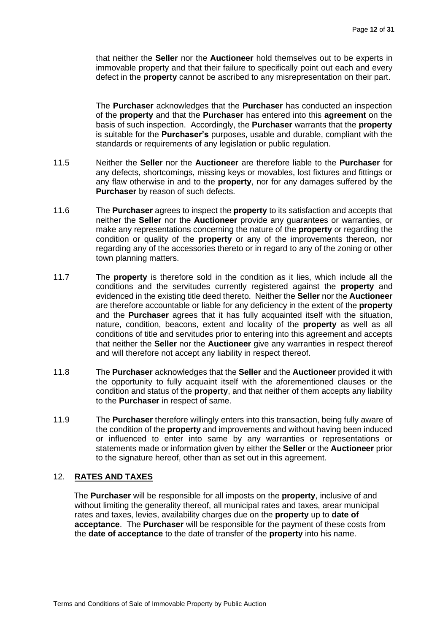that neither the **Seller** nor the **Auctioneer** hold themselves out to be experts in immovable property and that their failure to specifically point out each and every defect in the **property** cannot be ascribed to any misrepresentation on their part.

The **Purchaser** acknowledges that the **Purchaser** has conducted an inspection of the **property** and that the **Purchaser** has entered into this **agreement** on the basis of such inspection. Accordingly, the **Purchaser** warrants that the **property** is suitable for the **Purchaser's** purposes, usable and durable, compliant with the standards or requirements of any legislation or public regulation.

- 11.5 Neither the **Seller** nor the **Auctioneer** are therefore liable to the **Purchaser** for any defects, shortcomings, missing keys or movables, lost fixtures and fittings or any flaw otherwise in and to the **property**, nor for any damages suffered by the **Purchaser** by reason of such defects.
- 11.6 The **Purchaser** agrees to inspect the **property** to its satisfaction and accepts that neither the **Seller** nor the **Auctioneer** provide any guarantees or warranties, or make any representations concerning the nature of the **property** or regarding the condition or quality of the **property** or any of the improvements thereon, nor regarding any of the accessories thereto or in regard to any of the zoning or other town planning matters.
- 11.7 The **property** is therefore sold in the condition as it lies, which include all the conditions and the servitudes currently registered against the **property** and evidenced in the existing title deed thereto. Neither the **Seller** nor the **Auctioneer** are therefore accountable or liable for any deficiency in the extent of the **property** and the **Purchaser** agrees that it has fully acquainted itself with the situation, nature, condition, beacons, extent and locality of the **property** as well as all conditions of title and servitudes prior to entering into this agreement and accepts that neither the **Seller** nor the **Auctioneer** give any warranties in respect thereof and will therefore not accept any liability in respect thereof.
- 11.8 The **Purchaser** acknowledges that the **Seller** and the **Auctioneer** provided it with the opportunity to fully acquaint itself with the aforementioned clauses or the condition and status of the **property**, and that neither of them accepts any liability to the **Purchaser** in respect of same.
- 11.9 The **Purchaser** therefore willingly enters into this transaction, being fully aware of the condition of the **property** and improvements and without having been induced or influenced to enter into same by any warranties or representations or statements made or information given by either the **Seller** or the **Auctioneer** prior to the signature hereof, other than as set out in this agreement.

#### 12. **RATES AND TAXES**

The **Purchaser** will be responsible for all imposts on the **property**, inclusive of and without limiting the generality thereof, all municipal rates and taxes, arear municipal rates and taxes, levies, availability charges due on the **property** up to **date of acceptance**. The **Purchaser** will be responsible for the payment of these costs from the **date of acceptance** to the date of transfer of the **property** into his name.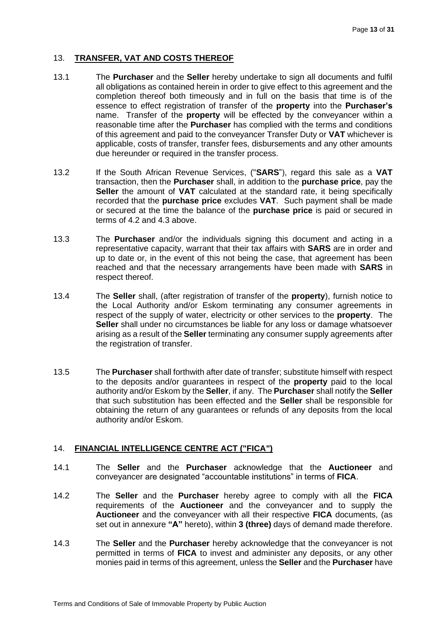# 13. **TRANSFER, VAT AND COSTS THEREOF**

- 13.1 The **Purchaser** and the **Seller** hereby undertake to sign all documents and fulfil all obligations as contained herein in order to give effect to this agreement and the completion thereof both timeously and in full on the basis that time is of the essence to effect registration of transfer of the **property** into the **Purchaser's** name. Transfer of the **property** will be effected by the conveyancer within a reasonable time after the **Purchaser** has complied with the terms and conditions of this agreement and paid to the conveyancer Transfer Duty or **VAT** whichever is applicable, costs of transfer, transfer fees, disbursements and any other amounts due hereunder or required in the transfer process.
- 13.2 If the South African Revenue Services, ("**SARS**"), regard this sale as a **VAT** transaction, then the **Purchaser** shall, in addition to the **purchase price**, pay the **Seller** the amount of **VAT** calculated at the standard rate, it being specifically recorded that the **purchase price** excludes **VAT**. Such payment shall be made or secured at the time the balance of the **purchase price** is paid or secured in terms of 4.2 and 4.3 above.
- 13.3 The **Purchaser** and/or the individuals signing this document and acting in a representative capacity, warrant that their tax affairs with **SARS** are in order and up to date or, in the event of this not being the case, that agreement has been reached and that the necessary arrangements have been made with **SARS** in respect thereof.
- 13.4 The **Seller** shall, (after registration of transfer of the **property**), furnish notice to the Local Authority and/or Eskom terminating any consumer agreements in respect of the supply of water, electricity or other services to the **property**. The **Seller** shall under no circumstances be liable for any loss or damage whatsoever arising as a result of the **Seller** terminating any consumer supply agreements after the registration of transfer.
- 13.5 The **Purchaser** shall forthwith after date of transfer; substitute himself with respect to the deposits and/or guarantees in respect of the **property** paid to the local authority and/or Eskom by the **Seller**, if any. The **Purchaser** shall notify the **Seller** that such substitution has been effected and the **Seller** shall be responsible for obtaining the return of any guarantees or refunds of any deposits from the local authority and/or Eskom.

# 14. **FINANCIAL INTELLIGENCE CENTRE ACT ("FICA")**

- 14.1 The **Seller** and the **Purchaser** acknowledge that the **Auctioneer** and conveyancer are designated "accountable institutions" in terms of **FICA**.
- 14.2 The **Seller** and the **Purchaser** hereby agree to comply with all the **FICA** requirements of the **Auctioneer** and the conveyancer and to supply the **Auctioneer** and the conveyancer with all their respective **FICA** documents, (as set out in annexure **"A"** hereto), within **3 (three)** days of demand made therefore.
- 14.3 The **Seller** and the **Purchaser** hereby acknowledge that the conveyancer is not permitted in terms of **FICA** to invest and administer any deposits, or any other monies paid in terms of this agreement, unless the **Seller** and the **Purchaser** have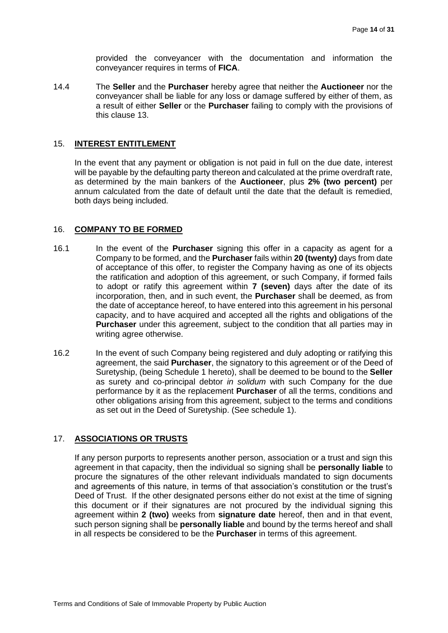provided the conveyancer with the documentation and information the conveyancer requires in terms of **FICA**.

14.4 The **Seller** and the **Purchaser** hereby agree that neither the **Auctioneer** nor the conveyancer shall be liable for any loss or damage suffered by either of them, as a result of either **Seller** or the **Purchaser** failing to comply with the provisions of this clause 13.

#### 15. **INTEREST ENTITLEMENT**

In the event that any payment or obligation is not paid in full on the due date, interest will be payable by the defaulting party thereon and calculated at the prime overdraft rate, as determined by the main bankers of the **Auctioneer**, plus **2% (two percent)** per annum calculated from the date of default until the date that the default is remedied, both days being included.

#### 16. **COMPANY TO BE FORMED**

- 16.1 In the event of the **Purchaser** signing this offer in a capacity as agent for a Company to be formed, and the **Purchaser** fails within **20 (twenty)** days from date of acceptance of this offer, to register the Company having as one of its objects the ratification and adoption of this agreement, or such Company, if formed fails to adopt or ratify this agreement within **7 (seven)** days after the date of its incorporation, then, and in such event, the **Purchaser** shall be deemed, as from the date of acceptance hereof, to have entered into this agreement in his personal capacity, and to have acquired and accepted all the rights and obligations of the **Purchaser** under this agreement, subject to the condition that all parties may in writing agree otherwise.
- 16.2 In the event of such Company being registered and duly adopting or ratifying this agreement, the said **Purchaser**, the signatory to this agreement or of the Deed of Suretyship, (being Schedule 1 hereto), shall be deemed to be bound to the **Seller** as surety and co-principal debtor *in solidum* with such Company for the due performance by it as the replacement **Purchaser** of all the terms, conditions and other obligations arising from this agreement, subject to the terms and conditions as set out in the Deed of Suretyship. (See schedule 1).

#### 17. **ASSOCIATIONS OR TRUSTS**

If any person purports to represents another person, association or a trust and sign this agreement in that capacity, then the individual so signing shall be **personally liable** to procure the signatures of the other relevant individuals mandated to sign documents and agreements of this nature, in terms of that association's constitution or the trust's Deed of Trust. If the other designated persons either do not exist at the time of signing this document or if their signatures are not procured by the individual signing this agreement within **2 (two)** weeks from **signature date** hereof, then and in that event, such person signing shall be **personally liable** and bound by the terms hereof and shall in all respects be considered to be the **Purchaser** in terms of this agreement.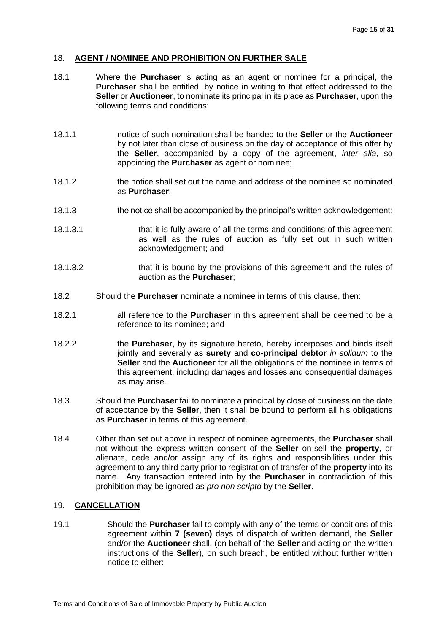#### 18. **AGENT / NOMINEE AND PROHIBITION ON FURTHER SALE**

- 18.1 Where the **Purchaser** is acting as an agent or nominee for a principal, the **Purchaser** shall be entitled, by notice in writing to that effect addressed to the **Seller** or **Auctioneer**, to nominate its principal in its place as **Purchaser**, upon the following terms and conditions:
- 18.1.1 notice of such nomination shall be handed to the **Seller** or the **Auctioneer** by not later than close of business on the day of acceptance of this offer by the **Seller**, accompanied by a copy of the agreement, *inter alia*, so appointing the **Purchaser** as agent or nominee;
- 18.1.2 the notice shall set out the name and address of the nominee so nominated as **Purchaser**;
- 18.1.3 the notice shall be accompanied by the principal's written acknowledgement:
- 18.1.3.1 that it is fully aware of all the terms and conditions of this agreement as well as the rules of auction as fully set out in such written acknowledgement; and
- 18.1.3.2 that it is bound by the provisions of this agreement and the rules of auction as the **Purchaser**;
- 18.2 Should the **Purchaser** nominate a nominee in terms of this clause, then:
- 18.2.1 all reference to the **Purchaser** in this agreement shall be deemed to be a reference to its nominee; and
- 18.2.2 the **Purchaser**, by its signature hereto, hereby interposes and binds itself jointly and severally as **surety** and **co-principal debtor** *in solidum* to the **Seller** and the **Auctioneer** for all the obligations of the nominee in terms of this agreement, including damages and losses and consequential damages as may arise.
- 18.3 Should the **Purchaser** fail to nominate a principal by close of business on the date of acceptance by the **Seller**, then it shall be bound to perform all his obligations as **Purchaser** in terms of this agreement.
- 18.4 Other than set out above in respect of nominee agreements, the **Purchaser** shall not without the express written consent of the **Seller** on-sell the **property**, or alienate, cede and/or assign any of its rights and responsibilities under this agreement to any third party prior to registration of transfer of the **property** into its name. Any transaction entered into by the **Purchaser** in contradiction of this prohibition may be ignored as *pro non scripto* by the **Seller**.

# 19. **CANCELLATION**

19.1 Should the **Purchaser** fail to comply with any of the terms or conditions of this agreement within **7 (seven)** days of dispatch of written demand, the **Seller** and/or the **Auctioneer** shall, (on behalf of the **Seller** and acting on the written instructions of the **Seller**), on such breach, be entitled without further written notice to either: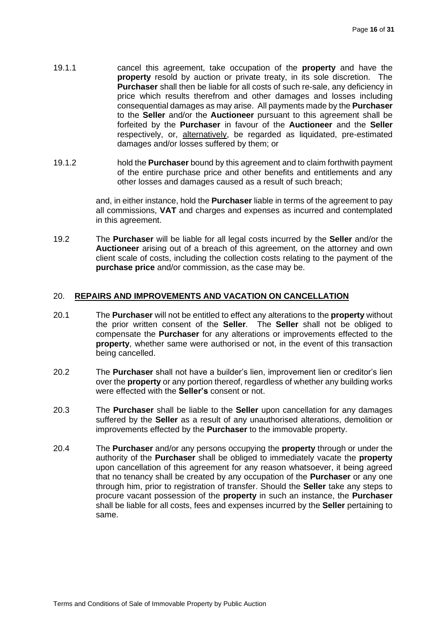- 19.1.1 cancel this agreement, take occupation of the **property** and have the **property** resold by auction or private treaty, in its sole discretion. The **Purchaser** shall then be liable for all costs of such re-sale, any deficiency in price which results therefrom and other damages and losses including consequential damages as may arise. All payments made by the **Purchaser** to the **Seller** and/or the **Auctioneer** pursuant to this agreement shall be forfeited by the **Purchaser** in favour of the **Auctioneer** and the **Seller** respectively, or, alternatively, be regarded as liquidated, pre-estimated damages and/or losses suffered by them; or
- 19.1.2 hold the **Purchaser** bound by this agreement and to claim forthwith payment of the entire purchase price and other benefits and entitlements and any other losses and damages caused as a result of such breach;

and, in either instance, hold the **Purchaser** liable in terms of the agreement to pay all commissions, **VAT** and charges and expenses as incurred and contemplated in this agreement.

19.2 The **Purchaser** will be liable for all legal costs incurred by the **Seller** and/or the **Auctioneer** arising out of a breach of this agreement, on the attorney and own client scale of costs, including the collection costs relating to the payment of the **purchase price** and/or commission, as the case may be.

#### 20. **REPAIRS AND IMPROVEMENTS AND VACATION ON CANCELLATION**

- 20.1 The **Purchaser** will not be entitled to effect any alterations to the **property** without the prior written consent of the **Seller**. The **Seller** shall not be obliged to compensate the **Purchaser** for any alterations or improvements effected to the **property**, whether same were authorised or not, in the event of this transaction being cancelled.
- 20.2 The **Purchaser** shall not have a builder's lien, improvement lien or creditor's lien over the **property** or any portion thereof, regardless of whether any building works were effected with the **Seller's** consent or not.
- 20.3 The **Purchaser** shall be liable to the **Seller** upon cancellation for any damages suffered by the **Seller** as a result of any unauthorised alterations, demolition or improvements effected by the **Purchaser** to the immovable property.
- 20.4 The **Purchaser** and/or any persons occupying the **property** through or under the authority of the **Purchaser** shall be obliged to immediately vacate the **property** upon cancellation of this agreement for any reason whatsoever, it being agreed that no tenancy shall be created by any occupation of the **Purchaser** or any one through him, prior to registration of transfer. Should the **Seller** take any steps to procure vacant possession of the **property** in such an instance, the **Purchaser** shall be liable for all costs, fees and expenses incurred by the **Seller** pertaining to same.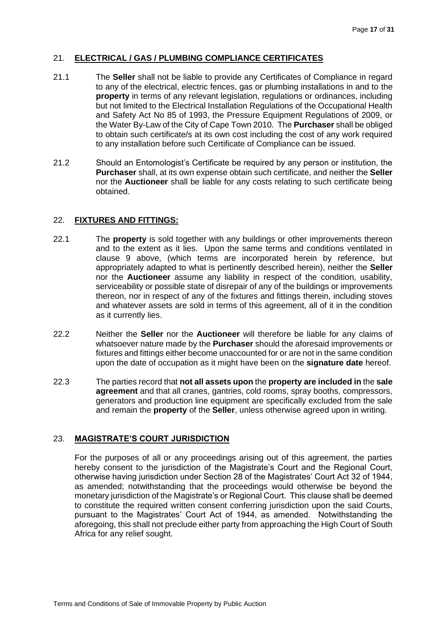## 21. **ELECTRICAL / GAS / PLUMBING COMPLIANCE CERTIFICATES**

- 21.1 The **Seller** shall not be liable to provide any Certificates of Compliance in regard to any of the electrical, electric fences, gas or plumbing installations in and to the **property** in terms of any relevant legislation, regulations or ordinances, including but not limited to the Electrical Installation Regulations of the Occupational Health and Safety Act No 85 of 1993, the Pressure Equipment Regulations of 2009, or the Water By-Law of the City of Cape Town 2010. The **Purchaser** shall be obliged to obtain such certificate/s at its own cost including the cost of any work required to any installation before such Certificate of Compliance can be issued.
- 21.2 Should an Entomologist's Certificate be required by any person or institution, the **Purchaser** shall, at its own expense obtain such certificate, and neither the **Seller** nor the **Auctioneer** shall be liable for any costs relating to such certificate being obtained.

## 22. **FIXTURES AND FITTINGS:**

- 22.1 The **property** is sold together with any buildings or other improvements thereon and to the extent as it lies. Upon the same terms and conditions ventilated in clause 9 above, (which terms are incorporated herein by reference, but appropriately adapted to what is pertinently described herein), neither the **Seller** nor the **Auctioneer** assume any liability in respect of the condition, usability, serviceability or possible state of disrepair of any of the buildings or improvements thereon, nor in respect of any of the fixtures and fittings therein, including stoves and whatever assets are sold in terms of this agreement, all of it in the condition as it currently lies.
- 22.2 Neither the **Seller** nor the **Auctioneer** will therefore be liable for any claims of whatsoever nature made by the **Purchaser** should the aforesaid improvements or fixtures and fittings either become unaccounted for or are not in the same condition upon the date of occupation as it might have been on the **signature date** hereof.
- 22.3 The parties record that **not all assets upon** the **property are included in** the **sale agreement** and that all cranes, gantries, cold rooms, spray booths, compressors, generators and production line equipment are specifically excluded from the sale and remain the **property** of the **Seller**, unless otherwise agreed upon in writing.

# 23. **MAGISTRATE'S COURT JURISDICTION**

For the purposes of all or any proceedings arising out of this agreement, the parties hereby consent to the jurisdiction of the Magistrate's Court and the Regional Court, otherwise having jurisdiction under Section 28 of the Magistrates' Court Act 32 of 1944, as amended; notwithstanding that the proceedings would otherwise be beyond the monetary jurisdiction of the Magistrate's or Regional Court. This clause shall be deemed to constitute the required written consent conferring jurisdiction upon the said Courts, pursuant to the Magistrates' Court Act of 1944, as amended. Notwithstanding the aforegoing, this shall not preclude either party from approaching the High Court of South Africa for any relief sought.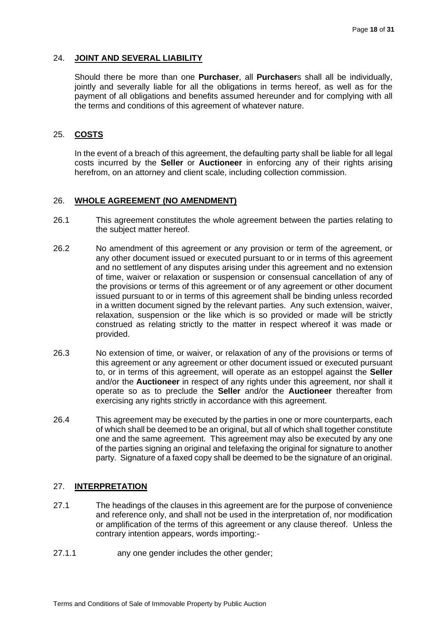#### 24. **JOINT AND SEVERAL LIABILITY**

Should there be more than one **Purchaser**, all **Purchaser**s shall all be individually, jointly and severally liable for all the obligations in terms hereof, as well as for the payment of all obligations and benefits assumed hereunder and for complying with all the terms and conditions of this agreement of whatever nature.

#### 25. **COSTS**

In the event of a breach of this agreement, the defaulting party shall be liable for all legal costs incurred by the **Seller** or **Auctioneer** in enforcing any of their rights arising herefrom, on an attorney and client scale, including collection commission.

#### 26. **WHOLE AGREEMENT (NO AMENDMENT)**

- 26.1 This agreement constitutes the whole agreement between the parties relating to the subject matter hereof.
- 26.2 No amendment of this agreement or any provision or term of the agreement, or any other document issued or executed pursuant to or in terms of this agreement and no settlement of any disputes arising under this agreement and no extension of time, waiver or relaxation or suspension or consensual cancellation of any of the provisions or terms of this agreement or of any agreement or other document issued pursuant to or in terms of this agreement shall be binding unless recorded in a written document signed by the relevant parties. Any such extension, waiver, relaxation, suspension or the like which is so provided or made will be strictly construed as relating strictly to the matter in respect whereof it was made or provided.
- 26.3 No extension of time, or waiver, or relaxation of any of the provisions or terms of this agreement or any agreement or other document issued or executed pursuant to, or in terms of this agreement, will operate as an estoppel against the **Seller** and/or the **Auctioneer** in respect of any rights under this agreement, nor shall it operate so as to preclude the **Seller** and/or the **Auctioneer** thereafter from exercising any rights strictly in accordance with this agreement.
- 26.4 This agreement may be executed by the parties in one or more counterparts, each of which shall be deemed to be an original, but all of which shall together constitute one and the same agreement. This agreement may also be executed by any one of the parties signing an original and telefaxing the original for signature to another party. Signature of a faxed copy shall be deemed to be the signature of an original.

#### 27. **INTERPRETATION**

- 27.1 The headings of the clauses in this agreement are for the purpose of convenience and reference only, and shall not be used in the interpretation of, nor modification or amplification of the terms of this agreement or any clause thereof. Unless the contrary intention appears, words importing:-
- 27.1.1 any one gender includes the other gender;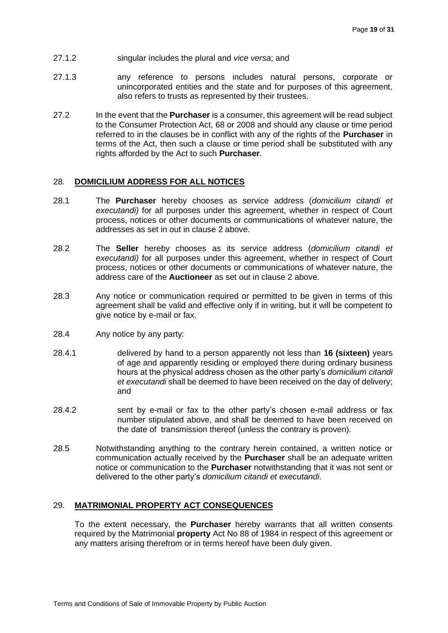- 27.1.2 singular includes the plural and *vice versa*; and
- 27.1.3 any reference to persons includes natural persons, corporate or unincorporated entities and the state and for purposes of this agreement, also refers to trusts as represented by their trustees.
- 27.2 In the event that the **Purchaser** is a consumer, this agreement will be read subject to the Consumer Protection Act, 68 or 2008 and should any clause or time period referred to in the clauses be in conflict with any of the rights of the **Purchaser** in terms of the Act, then such a clause or time period shall be substituted with any rights afforded by the Act to such **Purchaser**.

#### 28. **DOMICILIUM ADDRESS FOR ALL NOTICES**

- 28.1 The **Purchaser** hereby chooses as service address (*domicilium citandi et executandi)* for all purposes under this agreement, whether in respect of Court process, notices or other documents or communications of whatever nature, the addresses as set in out in clause 2 above.
- 28.2 The **Seller** hereby chooses as its service address (*domicilium citandi et executandi)* for all purposes under this agreement, whether in respect of Court process, notices or other documents or communications of whatever nature, the address care of the **Auctioneer** as set out in clause 2 above.
- 28.3 Any notice or communication required or permitted to be given in terms of this agreement shall be valid and effective only if in writing, but it will be competent to give notice by e-mail or fax.
- 28.4 Any notice by any party:
- 28.4.1 delivered by hand to a person apparently not less than **16 (sixteen)** years of age and apparently residing or employed there during ordinary business hours at the physical address chosen as the other party's *domicilium citandi et executandi* shall be deemed to have been received on the day of delivery; and
- 28.4.2 sent by e-mail or fax to the other party's chosen e-mail address or fax number stipulated above, and shall be deemed to have been received on the date of transmission thereof (unless the contrary is proven).
- 28.5 Notwithstanding anything to the contrary herein contained, a written notice or communication actually received by the **Purchaser** shall be an adequate written notice or communication to the **Purchaser** notwithstanding that it was not sent or delivered to the other party's *domicilium citandi et executandi*.

#### 29. **MATRIMONIAL PROPERTY ACT CONSEQUENCES**

To the extent necessary, the **Purchaser** hereby warrants that all written consents required by the Matrimonial **property** Act No 88 of 1984 in respect of this agreement or any matters arising therefrom or in terms hereof have been duly given.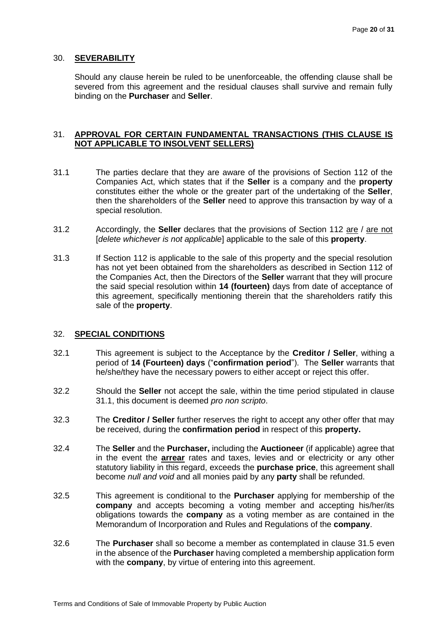#### 30. **SEVERABILITY**

Should any clause herein be ruled to be unenforceable, the offending clause shall be severed from this agreement and the residual clauses shall survive and remain fully binding on the **Purchaser** and **Seller**.

#### 31. **APPROVAL FOR CERTAIN FUNDAMENTAL TRANSACTIONS (THIS CLAUSE IS NOT APPLICABLE TO INSOLVENT SELLERS)**

- 31.1 The parties declare that they are aware of the provisions of Section 112 of the Companies Act, which states that if the **Seller** is a company and the **property** constitutes either the whole or the greater part of the undertaking of the **Seller**, then the shareholders of the **Seller** need to approve this transaction by way of a special resolution.
- 31.2 Accordingly, the **Seller** declares that the provisions of Section 112 are / are not [*delete whichever is not applicable*] applicable to the sale of this **property**.
- 31.3 If Section 112 is applicable to the sale of this property and the special resolution has not yet been obtained from the shareholders as described in Section 112 of the Companies Act, then the Directors of the **Seller** warrant that they will procure the said special resolution within **14 (fourteen)** days from date of acceptance of this agreement, specifically mentioning therein that the shareholders ratify this sale of the **property**.

#### 32. **SPECIAL CONDITIONS**

- 32.1 This agreement is subject to the Acceptance by the **Creditor / Seller**, withing a period of **14 (Fourteen) days** ("**confirmation period**"). The **Seller** warrants that he/she/they have the necessary powers to either accept or reject this offer.
- 32.2 Should the **Seller** not accept the sale, within the time period stipulated in clause 31.1, this document is deemed *pro non scripto*.
- 32.3 The **Creditor / Seller** further reserves the right to accept any other offer that may be received, during the **confirmation period** in respect of this **property.**
- 32.4 The **Seller** and the **Purchaser,** including the **Auctioneer** (if applicable) agree that in the event the **arrear** rates and taxes, levies and or electricity or any other statutory liability in this regard, exceeds the **purchase price**, this agreement shall become *null and void* and all monies paid by any **party** shall be refunded.
- 32.5 This agreement is conditional to the **Purchaser** applying for membership of the **company** and accepts becoming a voting member and accepting his/her/its obligations towards the **company** as a voting member as are contained in the Memorandum of Incorporation and Rules and Regulations of the **company**.
- 32.6 The **Purchaser** shall so become a member as contemplated in clause 31.5 even in the absence of the **Purchaser** having completed a membership application form with the **company**, by virtue of entering into this agreement.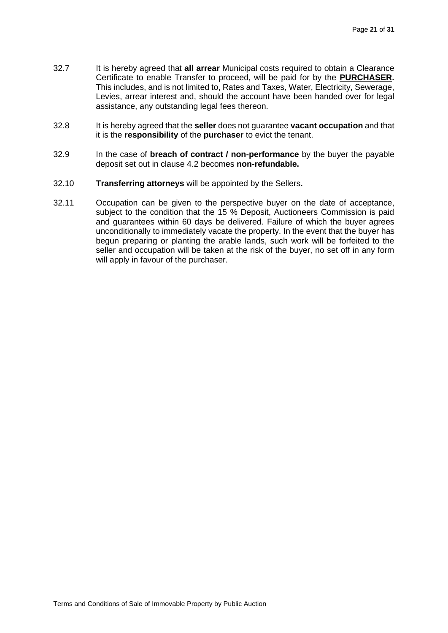- 32.7 It is hereby agreed that **all arrear** Municipal costs required to obtain a Clearance Certificate to enable Transfer to proceed, will be paid for by the **PURCHASER.** This includes, and is not limited to, Rates and Taxes, Water, Electricity, Sewerage, Levies, arrear interest and, should the account have been handed over for legal assistance, any outstanding legal fees thereon.
- 32.8 It is hereby agreed that the **seller** does not guarantee **vacant occupation** and that it is the **responsibility** of the **purchaser** to evict the tenant.
- 32.9 In the case of **breach of contract / non-performance** by the buyer the payable deposit set out in clause 4.2 becomes **non-refundable.**
- 32.10 **Transferring attorneys** will be appointed by the Sellers**.**
- 32.11 Occupation can be given to the perspective buyer on the date of acceptance, subject to the condition that the 15 % Deposit, Auctioneers Commission is paid and guarantees within 60 days be delivered. Failure of which the buyer agrees unconditionally to immediately vacate the property. In the event that the buyer has begun preparing or planting the arable lands, such work will be forfeited to the seller and occupation will be taken at the risk of the buyer, no set off in any form will apply in favour of the purchaser.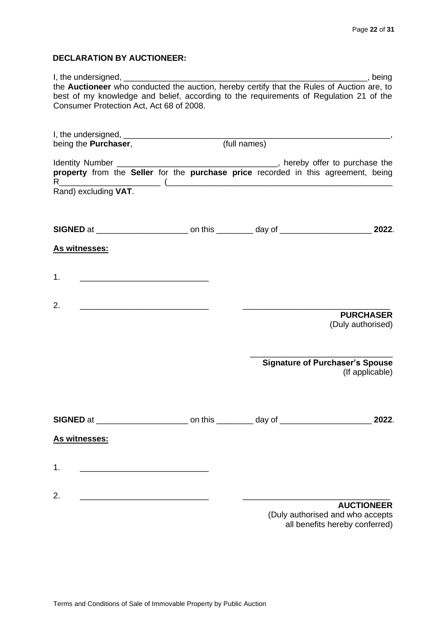# **DECLARATION BY AUCTIONEER:**

| $I,$ the undersigned, $\frac{1}{1}$                                                                                          |  | <u>saaraan dheeraa</u>                 |
|------------------------------------------------------------------------------------------------------------------------------|--|----------------------------------------|
| the Auctioneer who conducted the auction, hereby certify that the Rules of Auction are, to                                   |  |                                        |
| best of my knowledge and belief, according to the requirements of Regulation 21 of the                                       |  |                                        |
| Consumer Protection Act, Act 68 of 2008.                                                                                     |  |                                        |
|                                                                                                                              |  |                                        |
|                                                                                                                              |  |                                        |
|                                                                                                                              |  |                                        |
|                                                                                                                              |  |                                        |
|                                                                                                                              |  |                                        |
|                                                                                                                              |  |                                        |
|                                                                                                                              |  |                                        |
| Rand) excluding VAT.                                                                                                         |  |                                        |
|                                                                                                                              |  |                                        |
|                                                                                                                              |  |                                        |
|                                                                                                                              |  |                                        |
|                                                                                                                              |  | 2022.                                  |
|                                                                                                                              |  |                                        |
| As witnesses:                                                                                                                |  |                                        |
|                                                                                                                              |  |                                        |
| 1.                                                                                                                           |  |                                        |
|                                                                                                                              |  |                                        |
|                                                                                                                              |  |                                        |
| 2.                                                                                                                           |  |                                        |
|                                                                                                                              |  | <b>PURCHASER</b>                       |
|                                                                                                                              |  | (Duly authorised)                      |
|                                                                                                                              |  |                                        |
|                                                                                                                              |  |                                        |
|                                                                                                                              |  | <b>Signature of Purchaser's Spouse</b> |
|                                                                                                                              |  | (If applicable)                        |
|                                                                                                                              |  |                                        |
|                                                                                                                              |  |                                        |
|                                                                                                                              |  |                                        |
|                                                                                                                              |  |                                        |
|                                                                                                                              |  | 2022.                                  |
| As witnesses:                                                                                                                |  |                                        |
|                                                                                                                              |  |                                        |
|                                                                                                                              |  |                                        |
| 1.<br><u> 1989 - Johann John Stone, mars eta biztanleria (h. 1989).</u>                                                      |  |                                        |
|                                                                                                                              |  |                                        |
|                                                                                                                              |  |                                        |
| 2.<br><u> 2000 - Jan James James Jan James James James James James James James James James James James James James James</u> |  |                                        |
|                                                                                                                              |  | <b>AUCTIONEER</b>                      |
|                                                                                                                              |  | (Duly authorised and who accepts       |
|                                                                                                                              |  | all benefits hereby conferred)         |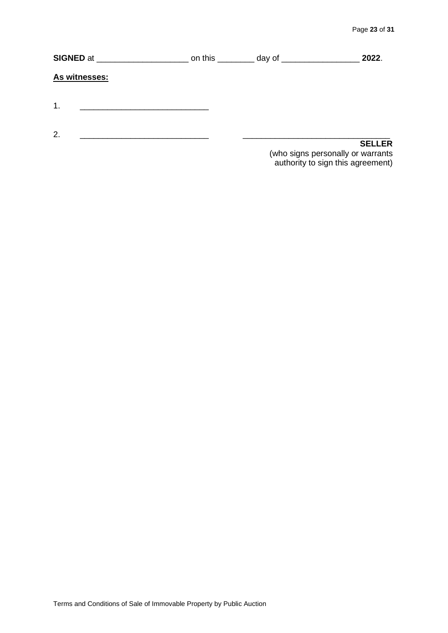| SIGNED at     | on this _________ day of _____________ | 2022.                                                                  |
|---------------|----------------------------------------|------------------------------------------------------------------------|
| As witnesses: |                                        |                                                                        |
| $\mathbf 1$   |                                        |                                                                        |
|               |                                        |                                                                        |
| 2.            |                                        | <b>SELLER</b>                                                          |
|               |                                        | (who signs personally or warrants<br>authority to sign this agreement) |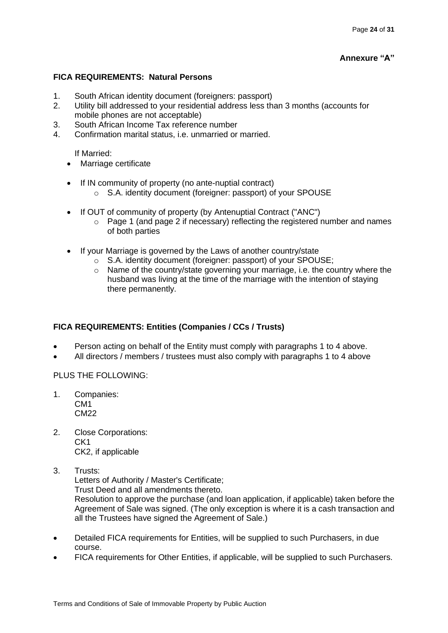# **Annexure "A"**

# **FICA REQUIREMENTS: Natural Persons**

- 1. South African identity document (foreigners: passport)
- 2. Utility bill addressed to your residential address less than 3 months (accounts for mobile phones are not acceptable)
- 3. South African Income Tax reference number
- 4. Confirmation marital status, i.e. unmarried or married.

If Married:

- Marriage certificate
- If IN community of property (no ante-nuptial contract)
	- o S.A. identity document (foreigner: passport) of your SPOUSE
- If OUT of community of property (by Antenuptial Contract ("ANC")
	- $\circ$  Page 1 (and page 2 if necessary) reflecting the registered number and names of both parties
- If your Marriage is governed by the Laws of another country/state
	- o S.A. identity document (foreigner: passport) of your SPOUSE;
	- $\circ$  Name of the country/state governing your marriage, i.e. the country where the husband was living at the time of the marriage with the intention of staying there permanently.

# **FICA REQUIREMENTS: Entities (Companies / CCs / Trusts)**

- Person acting on behalf of the Entity must comply with paragraphs 1 to 4 above.
- All directors / members / trustees must also comply with paragraphs 1 to 4 above

# PLUS THE FOLLOWING:

- 1. Companies: CM1 CM22
- 2. Close Corporations: CK1 CK2, if applicable
- 3. Trusts:

Letters of Authority / Master's Certificate;

Trust Deed and all amendments thereto.

Resolution to approve the purchase (and loan application, if applicable) taken before the Agreement of Sale was signed. (The only exception is where it is a cash transaction and all the Trustees have signed the Agreement of Sale.)

- Detailed FICA requirements for Entities, will be supplied to such Purchasers, in due course.
- FICA requirements for Other Entities, if applicable, will be supplied to such Purchasers.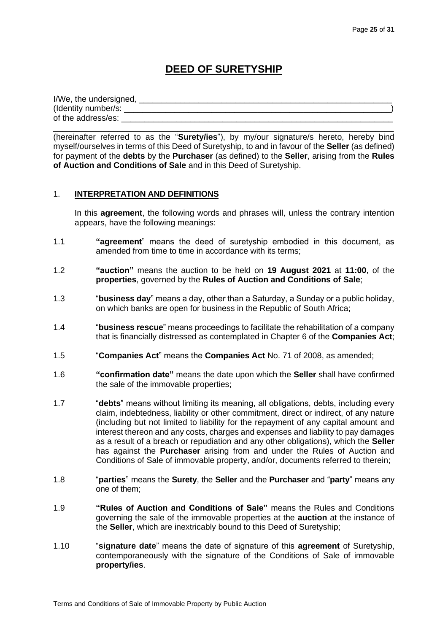# **DEED OF SURETYSHIP**

| I/We, the undersigned, |  |
|------------------------|--|
| (Identity number/s:    |  |
| of the address/es:     |  |

\_\_\_\_\_\_\_\_\_\_\_\_\_\_\_\_\_\_\_\_\_\_\_\_\_\_\_\_\_\_\_\_\_\_\_\_\_\_\_\_\_\_\_\_\_\_\_\_\_\_\_\_\_\_\_\_\_\_\_\_\_\_\_\_\_\_\_\_\_\_\_\_\_\_

(hereinafter referred to as the "**Surety/ies**"), by my/our signature/s hereto, hereby bind myself/ourselves in terms of this Deed of Suretyship, to and in favour of the **Seller** (as defined) for payment of the **debts** by the **Purchaser** (as defined) to the **Seller**, arising from the **Rules of Auction and Conditions of Sale** and in this Deed of Suretyship.

## 1. **INTERPRETATION AND DEFINITIONS**

In this **agreement**, the following words and phrases will, unless the contrary intention appears, have the following meanings:

- 1.1 **"agreement**" means the deed of suretyship embodied in this document, as amended from time to time in accordance with its terms;
- 1.2 **"auction"** means the auction to be held on **19 August 2021** at **11:00**, of the **properties**, governed by the **Rules of Auction and Conditions of Sale**;
- 1.3 "**business day**" means a day, other than a Saturday, a Sunday or a public holiday, on which banks are open for business in the Republic of South Africa;
- 1.4 "**business rescue**" means proceedings to facilitate the rehabilitation of a company that is financially distressed as contemplated in Chapter 6 of the **Companies Act**;
- 1.5 "**Companies Act**" means the **Companies Act** No. 71 of 2008, as amended;
- 1.6 **"confirmation date"** means the date upon which the **Seller** shall have confirmed the sale of the immovable properties;
- 1.7 "**debts**" means without limiting its meaning, all obligations, debts, including every claim, indebtedness, liability or other commitment, direct or indirect, of any nature (including but not limited to liability for the repayment of any capital amount and interest thereon and any costs, charges and expenses and liability to pay damages as a result of a breach or repudiation and any other obligations), which the **Seller** has against the **Purchaser** arising from and under the Rules of Auction and Conditions of Sale of immovable property, and/or, documents referred to therein;
- 1.8 "**parties**" means the **Surety**, the **Seller** and the **Purchaser** and "**party**" means any one of them;
- 1.9 **"Rules of Auction and Conditions of Sale"** means the Rules and Conditions governing the sale of the immovable properties at the **auction** at the instance of the **Seller**, which are inextricably bound to this Deed of Suretyship;
- 1.10 "**signature date**" means the date of signature of this **agreement** of Suretyship, contemporaneously with the signature of the Conditions of Sale of immovable **property/ies**.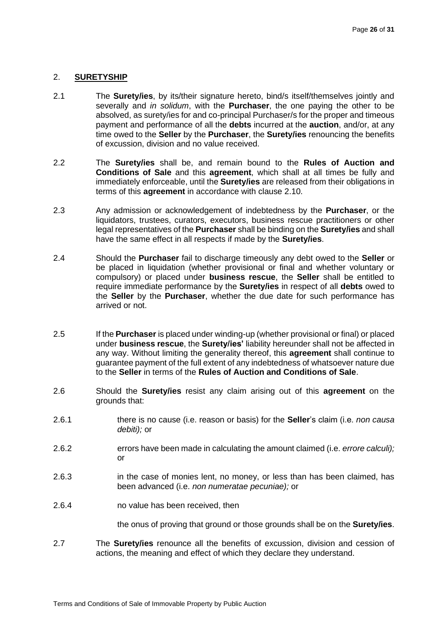#### 2. **SURETYSHIP**

- 2.1 The **Surety/ies**, by its/their signature hereto, bind/s itself/themselves jointly and severally and *in solidum*, with the **Purchaser**, the one paying the other to be absolved, as surety/ies for and co-principal Purchaser/s for the proper and timeous payment and performance of all the **debts** incurred at the **auction**, and/or, at any time owed to the **Seller** by the **Purchaser**, the **Surety/ies** renouncing the benefits of excussion, division and no value received.
- 2.2 The **Surety/ies** shall be, and remain bound to the **Rules of Auction and Conditions of Sale** and this **agreement**, which shall at all times be fully and immediately enforceable, until the **Surety/ies** are released from their obligations in terms of this **agreement** in accordance with clause [2.10.](#page-26-0)
- 2.3 Any admission or acknowledgement of indebtedness by the **Purchaser**, or the liquidators, trustees, curators, executors, business rescue practitioners or other legal representatives of the **Purchaser** shall be binding on the **Surety/ies** and shall have the same effect in all respects if made by the **Surety/ies**.
- 2.4 Should the **Purchaser** fail to discharge timeously any debt owed to the **Seller** or be placed in liquidation (whether provisional or final and whether voluntary or compulsory) or placed under **business rescue**, the **Seller** shall be entitled to require immediate performance by the **Surety/ies** in respect of all **debts** owed to the **Seller** by the **Purchaser**, whether the due date for such performance has arrived or not.
- 2.5 If the **Purchaser** is placed under winding-up (whether provisional or final) or placed under **business rescue**, the **Surety/ies'** liability hereunder shall not be affected in any way. Without limiting the generality thereof, this **agreement** shall continue to guarantee payment of the full extent of any indebtedness of whatsoever nature due to the **Seller** in terms of the **Rules of Auction and Conditions of Sale**.
- 2.6 Should the **Surety/ies** resist any claim arising out of this **agreement** on the grounds that:
- 2.6.1 there is no cause (i.e. reason or basis) for the **Seller**'s claim (i.e. *non causa debiti);* or
- 2.6.2 errors have been made in calculating the amount claimed (i.e. *errore calculi);*  or
- 2.6.3 in the case of monies lent, no money, or less than has been claimed, has been advanced (i.e. *non numeratae pecuniae);* or
- 2.6.4 no value has been received, then

the onus of proving that ground or those grounds shall be on the **Surety/ies**.

2.7 The **Surety/ies** renounce all the benefits of excussion, division and cession of actions, the meaning and effect of which they declare they understand.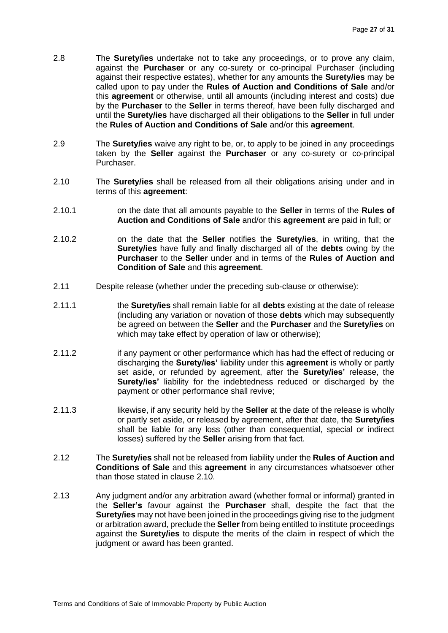- 2.8 The **Surety/ies** undertake not to take any proceedings, or to prove any claim, against the **Purchaser** or any co-surety or co-principal Purchaser (including against their respective estates), whether for any amounts the **Surety/ies** may be called upon to pay under the **Rules of Auction and Conditions of Sale** and/or this **agreement** or otherwise, until all amounts (including interest and costs) due by the **Purchaser** to the **Seller** in terms thereof, have been fully discharged and until the **Surety/ies** have discharged all their obligations to the **Seller** in full under the **Rules of Auction and Conditions of Sale** and/or this **agreement**.
- 2.9 The **Surety/ies** waive any right to be, or, to apply to be joined in any proceedings taken by the **Seller** against the **Purchaser** or any co-surety or co-principal Purchaser.
- <span id="page-26-0"></span>2.10 The **Surety/ies** shall be released from all their obligations arising under and in terms of this **agreement**:
- 2.10.1 on the date that all amounts payable to the **Seller** in terms of the **Rules of Auction and Conditions of Sale** and/or this **agreement** are paid in full; or
- 2.10.2 on the date that the **Seller** notifies the **Surety/ies**, in writing, that the **Surety/ies** have fully and finally discharged all of the **debts** owing by the **Purchaser** to the **Seller** under and in terms of the **Rules of Auction and Condition of Sale** and this **agreement**.
- 2.11 Despite release (whether under the preceding sub-clause or otherwise):
- 2.11.1 the **Surety/ies** shall remain liable for all **debts** existing at the date of release (including any variation or novation of those **debts** which may subsequently be agreed on between the **Seller** and the **Purchaser** and the **Surety/ies** on which may take effect by operation of law or otherwise);
- 2.11.2 if any payment or other performance which has had the effect of reducing or discharging the **Surety/ies'** liability under this **agreement** is wholly or partly set aside, or refunded by agreement, after the **Surety/ies'** release, the **Surety/ies'** liability for the indebtedness reduced or discharged by the payment or other performance shall revive;
- 2.11.3 likewise, if any security held by the **Seller** at the date of the release is wholly or partly set aside, or released by agreement, after that date, the **Surety/ies** shall be liable for any loss (other than consequential, special or indirect losses) suffered by the **Seller** arising from that fact.
- 2.12 The **Surety/ies** shall not be released from liability under the **Rules of Auction and Conditions of Sale** and this **agreement** in any circumstances whatsoever other than those stated in clause [2.10.](#page-26-0)
- 2.13 Any judgment and/or any arbitration award (whether formal or informal) granted in the **Seller's** favour against the **Purchaser** shall, despite the fact that the **Surety/ies** may not have been joined in the proceedings giving rise to the judgment or arbitration award, preclude the **Seller** from being entitled to institute proceedings against the **Surety/ies** to dispute the merits of the claim in respect of which the judgment or award has been granted.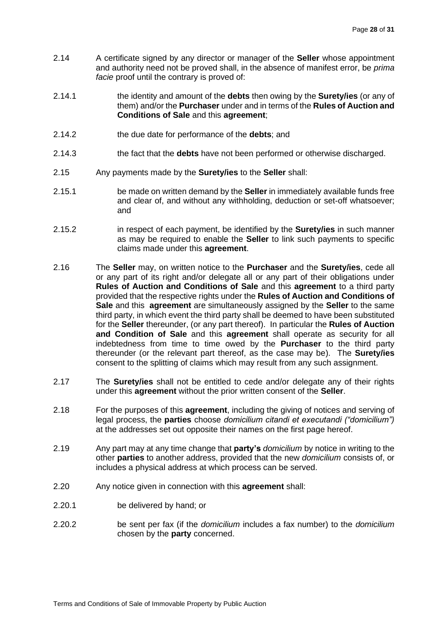- 2.14 A certificate signed by any director or manager of the **Seller** whose appointment and authority need not be proved shall, in the absence of manifest error, be *prima facie* proof until the contrary is proved of:
- 2.14.1 the identity and amount of the **debts** then owing by the **Surety/ies** (or any of them) and/or the **Purchaser** under and in terms of the **Rules of Auction and Conditions of Sale** and this **agreement**;
- 2.14.2 the due date for performance of the **debts**; and
- 2.14.3 the fact that the **debts** have not been performed or otherwise discharged.
- 2.15 Any payments made by the **Surety/ies** to the **Seller** shall:
- 2.15.1 be made on written demand by the **Seller** in immediately available funds free and clear of, and without any withholding, deduction or set-off whatsoever; and
- 2.15.2 in respect of each payment, be identified by the **Surety/ies** in such manner as may be required to enable the **Seller** to link such payments to specific claims made under this **agreement**.
- 2.16 The **Seller** may, on written notice to the **Purchaser** and the **Surety/ies**, cede all or any part of its right and/or delegate all or any part of their obligations under **Rules of Auction and Conditions of Sale** and this **agreement** to a third party provided that the respective rights under the **Rules of Auction and Conditions of Sale** and this **agreement** are simultaneously assigned by the **Seller** to the same third party, in which event the third party shall be deemed to have been substituted for the **Seller** thereunder, (or any part thereof). In particular the **Rules of Auction and Condition of Sale** and this **agreement** shall operate as security for all indebtedness from time to time owed by the **Purchaser** to the third party thereunder (or the relevant part thereof, as the case may be). The **Surety/ies** consent to the splitting of claims which may result from any such assignment.
- 2.17 The **Surety/ies** shall not be entitled to cede and/or delegate any of their rights under this **agreement** without the prior written consent of the **Seller**.
- 2.18 For the purposes of this **agreement**, including the giving of notices and serving of legal process, the **parties** choose *domicilium citandi et executandi ("domicilium")*  at the addresses set out opposite their names on the first page hereof.
- 2.19 Any part may at any time change that **party's** *domicilium* by notice in writing to the other **parties** to another address, provided that the new *domicilium* consists of, or includes a physical address at which process can be served.
- 2.20 Any notice given in connection with this **agreement** shall:
- 2.20.1 be delivered by hand; or
- 2.20.2 be sent per fax (if the *domicilium* includes a fax number) to the *domicilium*  chosen by the **party** concerned.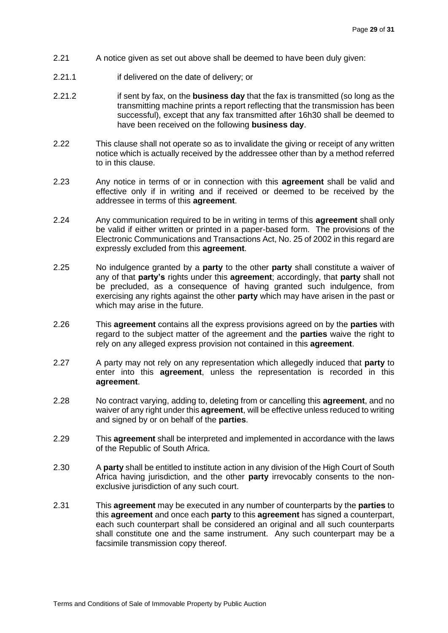- 2.21 A notice given as set out above shall be deemed to have been duly given:
- 2.21.1 if delivered on the date of delivery; or
- 2.21.2 if sent by fax, on the **business day** that the fax is transmitted (so long as the transmitting machine prints a report reflecting that the transmission has been successful), except that any fax transmitted after 16h30 shall be deemed to have been received on the following **business day**.
- 2.22 This clause shall not operate so as to invalidate the giving or receipt of any written notice which is actually received by the addressee other than by a method referred to in this clause.
- 2.23 Any notice in terms of or in connection with this **agreement** shall be valid and effective only if in writing and if received or deemed to be received by the addressee in terms of this **agreement**.
- 2.24 Any communication required to be in writing in terms of this **agreement** shall only be valid if either written or printed in a paper-based form. The provisions of the Electronic Communications and Transactions Act, No. 25 of 2002 in this regard are expressly excluded from this **agreement**.
- 2.25 No indulgence granted by a **party** to the other **party** shall constitute a waiver of any of that **party's** rights under this **agreement**; accordingly, that **party** shall not be precluded, as a consequence of having granted such indulgence, from exercising any rights against the other **party** which may have arisen in the past or which may arise in the future.
- 2.26 This **agreement** contains all the express provisions agreed on by the **parties** with regard to the subject matter of the agreement and the **parties** waive the right to rely on any alleged express provision not contained in this **agreement**.
- 2.27 A party may not rely on any representation which allegedly induced that **party** to enter into this **agreement**, unless the representation is recorded in this **agreement**.
- 2.28 No contract varying, adding to, deleting from or cancelling this **agreement**, and no waiver of any right under this **agreement**, will be effective unless reduced to writing and signed by or on behalf of the **parties**.
- 2.29 This **agreement** shall be interpreted and implemented in accordance with the laws of the Republic of South Africa.
- 2.30 A **party** shall be entitled to institute action in any division of the High Court of South Africa having jurisdiction, and the other **party** irrevocably consents to the nonexclusive jurisdiction of any such court.
- 2.31 This **agreement** may be executed in any number of counterparts by the **parties** to this **agreement** and once each **party** to this **agreement** has signed a counterpart, each such counterpart shall be considered an original and all such counterparts shall constitute one and the same instrument. Any such counterpart may be a facsimile transmission copy thereof.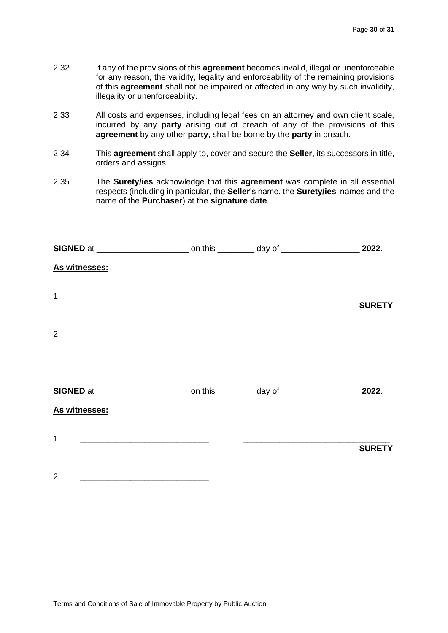- 2.32 If any of the provisions of this **agreement** becomes invalid, illegal or unenforceable for any reason, the validity, legality and enforceability of the remaining provisions of this **agreement** shall not be impaired or affected in any way by such invalidity, illegality or unenforceability.
- 2.33 All costs and expenses, including legal fees on an attorney and own client scale, incurred by any **party** arising out of breach of any of the provisions of this **agreement** by any other **party**, shall be borne by the **party** in breach.
- 2.34 This **agreement** shall apply to, cover and secure the **Seller**, its successors in title, orders and assigns.
- 2.35 The **Surety/ies** acknowledge that this **agreement** was complete in all essential respects (including in particular, the **Seller**'s name, the **Surety/ies**' names and the name of the **Purchaser**) at the **signature date**.

| As witnesses:                                                                                                               |                                                           |               |
|-----------------------------------------------------------------------------------------------------------------------------|-----------------------------------------------------------|---------------|
| 1.                                                                                                                          | <u> 1989 - Andrea Andrew Maria (h. 1989).</u>             | <b>SURETY</b> |
| 2.<br><u> 1999 - Johann Harry Harry Harry Harry Harry Harry Harry Harry Harry Harry Harry Harry Harry Harry Harry Harry</u> |                                                           |               |
|                                                                                                                             |                                                           |               |
|                                                                                                                             |                                                           |               |
| As witnesses:                                                                                                               |                                                           |               |
| 1.                                                                                                                          | <u> 1989 - Johann Barnett, fransk politiker (d. 1989)</u> | <b>SURETY</b> |
| 2.<br><u> 1989 - Andrea Andrew Maria (h. 1989).</u>                                                                         |                                                           |               |